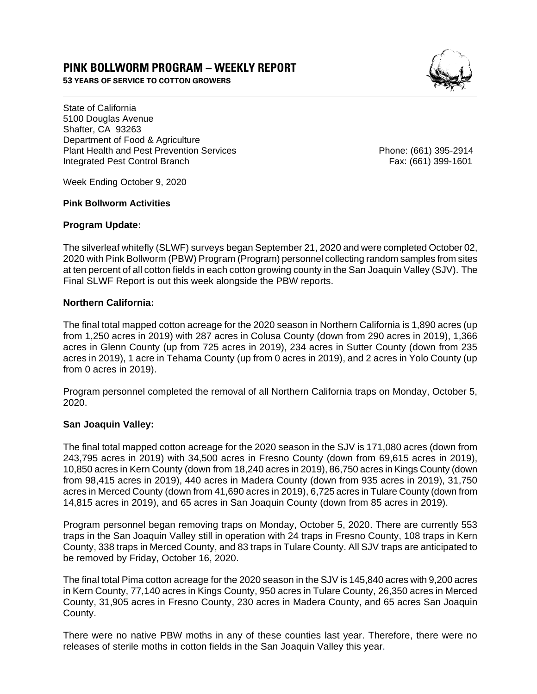# **PINK BOLLWORM PROGRAM – WEEKLY REPORT**

**53 YEARS OF SERVICE TO COTTON GROWERS** 



State of California 5100 Douglas Avenue Shafter, CA 93263 Department of Food & Agriculture Plant Health and Pest Prevention Services Phone: (661) 395-2914 Integrated Pest Control Branch Fax: (661) 399-1601

Week Ending October 9, 2020

#### **Pink Bollworm Activities**

### **Program Update:**

The silverleaf whitefly (SLWF) surveys began September 21, 2020 and were completed October 02, 2020 with Pink Bollworm (PBW) Program (Program) personnel collecting random samples from sites at ten percent of all cotton fields in each cotton growing county in the San Joaquin Valley (SJV). The Final SLWF Report is out this week alongside the PBW reports.

### **Northern California:**

The final total mapped cotton acreage for the 2020 season in Northern California is 1,890 acres (up from 1,250 acres in 2019) with 287 acres in Colusa County (down from 290 acres in 2019), 1,366 acres in Glenn County (up from 725 acres in 2019), 234 acres in Sutter County (down from 235 acres in 2019), 1 acre in Tehama County (up from 0 acres in 2019), and 2 acres in Yolo County (up from 0 acres in 2019).

Program personnel completed the removal of all Northern California traps on Monday, October 5, 2020.

### **San Joaquin Valley:**

The final total mapped cotton acreage for the 2020 season in the SJV is 171,080 acres (down from 243,795 acres in 2019) with 34,500 acres in Fresno County (down from 69,615 acres in 2019), 10,850 acres in Kern County (down from 18,240 acres in 2019), 86,750 acres in Kings County (down from 98,415 acres in 2019), 440 acres in Madera County (down from 935 acres in 2019), 31,750 acres in Merced County (down from 41,690 acres in 2019), 6,725 acres in Tulare County (down from 14,815 acres in 2019), and 65 acres in San Joaquin County (down from 85 acres in 2019).

Program personnel began removing traps on Monday, October 5, 2020. There are currently 553 traps in the San Joaquin Valley still in operation with 24 traps in Fresno County, 108 traps in Kern County, 338 traps in Merced County, and 83 traps in Tulare County. All SJV traps are anticipated to be removed by Friday, October 16, 2020.

The final total Pima cotton acreage for the 2020 season in the SJV is 145,840 acres with 9,200 acres in Kern County, 77,140 acres in Kings County, 950 acres in Tulare County, 26,350 acres in Merced County, 31,905 acres in Fresno County, 230 acres in Madera County, and 65 acres San Joaquin County.

There were no native PBW moths in any of these counties last year. Therefore, there were no releases of sterile moths in cotton fields in the San Joaquin Valley this year.